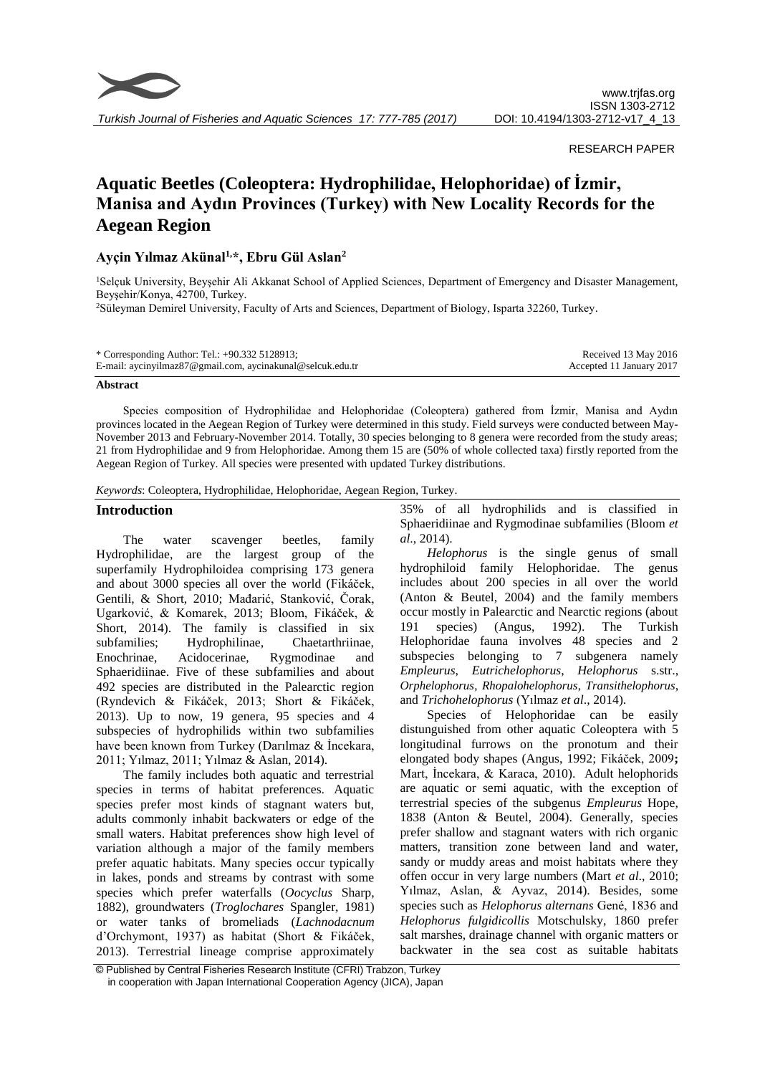

# RESEARCH PAPER

# **Aquatic Beetles (Coleoptera: Hydrophilidae, Helophoridae) of İzmir, Manisa and Aydın Provinces (Turkey) with New Locality Records for the Aegean Region**

# **Ayçin Yılmaz Akünal1,\*, Ebru Gül Aslan<sup>2</sup>**

<sup>1</sup>Selçuk University, Beyşehir Ali Akkanat School of Applied Sciences, Department of Emergency and Disaster Management, Beyşehir/Konya, 42700, Turkey.

<sup>2</sup>Süleyman Demirel University, Faculty of Arts and Sciences, Department of Biology, Isparta 32260, Turkey.

| * Corresponding Author: Tel.: +90.332 5128913;             | Received 13 May 2016     |
|------------------------------------------------------------|--------------------------|
| E-mail: aycinyilmaz87@gmail.com, aycinakunal@selcuk.edu.tr | Accepted 11 January 2017 |

#### **Abstract**

Species composition of Hydrophilidae and Helophoridae (Coleoptera) gathered from İzmir, Manisa and Aydın provinces located in the Aegean Region of Turkey were determined in this study. Field surveys were conducted between May-November 2013 and February-November 2014. Totally, 30 species belonging to 8 genera were recorded from the study areas; 21 from Hydrophilidae and 9 from Helophoridae. Among them 15 are (50% of whole collected taxa) firstly reported from the Aegean Region of Turkey. All species were presented with updated Turkey distributions.

*Keywords*: Coleoptera, Hydrophilidae, Helophoridae, Aegean Region, Turkey.

#### **Introduction**

The water scavenger beetles, family Hydrophilidae, are the largest group of the superfamily Hydrophiloidea comprising 173 genera and about 3000 species all over the world (Fikáček, Gentili, & Short, 2010; Mađarić, Stanković, Čorak, Ugarković, & Komarek, 2013; Bloom, Fikáček, & Short, 2014). The family is classified in six subfamilies; Hydrophilinae, Chaetarthriinae, Enochrinae, Acidocerinae, Rygmodinae and Sphaeridiinae. Five of these subfamilies and about 492 species are distributed in the Palearctic region (Ryndevich & Fikáček, 2013; Short & Fikáček, 2013). Up to now, 19 genera, 95 species and 4 subspecies of hydrophilids within two subfamilies have been known from Turkey (Darılmaz & İncekara, 2011; Yılmaz, 2011; Yılmaz & Aslan, 2014).

The family includes both aquatic and terrestrial species in terms of habitat preferences. Aquatic species prefer most kinds of stagnant waters but, adults commonly inhabit backwaters or edge of the small waters. Habitat preferences show high level of variation although a major of the family members prefer aquatic habitats. Many species occur typically in lakes, ponds and streams by contrast with some species which prefer waterfalls (*Oocyclus* Sharp, 1882), groundwaters (*Troglochares* Spangler, 1981) or water tanks of bromeliads (*Lachnodacnum*  d'Orchymont, 1937) as habitat (Short & Fikáček, 2013). Terrestrial lineage comprise approximately

35% of all hydrophilids and is classified in Sphaeridiinae and Rygmodinae subfamilies (Bloom *et al*., 2014).

*Helophorus* is the single genus of small hydrophiloid family Helophoridae. The genus includes about 200 species in all over the world (Anton & Beutel, 2004) and the family members occur mostly in Palearctic and Nearctic regions (about 191 species) (Angus, 1992). The Turkish Helophoridae fauna involves 48 species and 2 subspecies belonging to 7 subgenera namely *Empleurus*, *Eutrichelophorus*, *Helophorus* s.str., *Orphelophorus*, *Rhopalohelophorus*, *Transithelophorus*, and *Trichohelophorus* (Yılmaz *et al*., 2014).

Species of Helophoridae can be easily distunguished from other aquatic Coleoptera with 5 longitudinal furrows on the pronotum and their elongated body shapes (Angus, 1992; Fikáček, 2009**;** Mart, İncekara, & Karaca, 2010). Adult helophorids are aquatic or semi aquatic, with the exception of terrestrial species of the subgenus *Empleurus* Hope, 1838 (Anton & Beutel, 2004). Generally, species prefer shallow and stagnant waters with rich organic matters, transition zone between land and water, sandy or muddy areas and moist habitats where they offen occur in very large numbers (Mart *et al*., 2010; Yılmaz, Aslan, & Ayvaz, 2014). Besides, some species such as *Helophorus alternans* Gené, 1836 and *Helophorus fulgidicollis* Motschulsky, 1860 prefer salt marshes[, drainage channel](http://tureng.com/search/drainage%20channel) with organic matters or backwater in the sea cost as suitable habitats

<sup>©</sup> Published by Central Fisheries Research Institute (CFRI) Trabzon, Turkey in cooperation with Japan International Cooperation Agency (JICA), Japan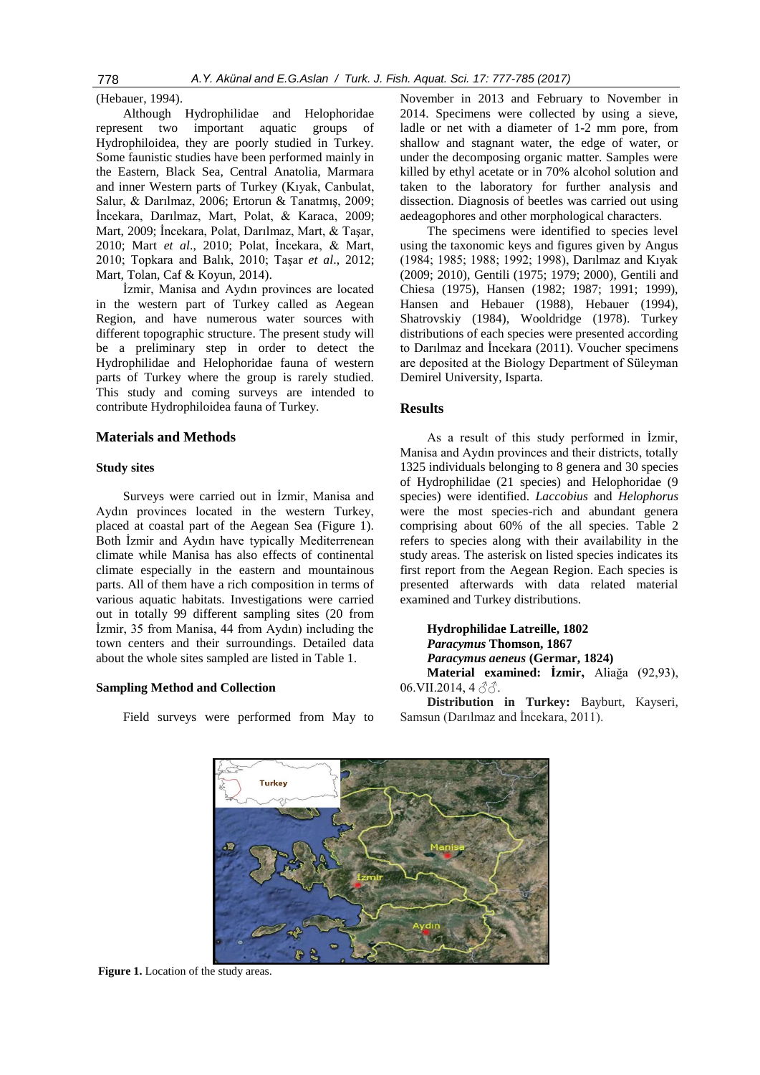778 *A.Y. Akünal and E.G.Aslan / Turk. J. Fish. Aquat. Sci. 17: 777-785 (2017)*

(Hebauer, 1994).

Although Hydrophilidae and Helophoridae represent two important aquatic groups of Hydrophiloidea, they are poorly studied in Turkey. Some faunistic studies have been performed mainly in the Eastern, Black Sea, Central Anatolia, Marmara and inner Western parts of Turkey (Kıyak, Canbulat, Salur, & Darılmaz, 2006; Ertorun & Tanatmış, 2009; İncekara, Darılmaz, Mart, Polat, & Karaca, 2009; Mart, 2009; İncekara, Polat, Darılmaz, Mart, & Taşar, 2010; Mart *et al*., 2010; Polat, İncekara, & Mart, 2010; Topkara and Balık, 2010; Taşar *et al*., 2012; Mart, Tolan, Caf & Koyun, 2014).

İzmir, Manisa and Aydın provinces are located in the western part of Turkey called as Aegean Region, and have numerous water sources with different topographic structure. The present study will be a preliminary step in order to detect the Hydrophilidae and Helophoridae fauna of western parts of Turkey where the group is rarely studied. This study and coming surveys are intended to contribute Hydrophiloidea fauna of Turkey.

# **Materials and Methods**

# **Study sites**

Surveys were carried out in İzmir, Manisa and Aydın provinces located in the western Turkey, placed at coastal part of the Aegean Sea (Figure 1). Both İzmir and Aydın have typically Mediterrenean climate while Manisa has also effects of continental climate especially in the eastern and mountainous parts. All of them have a rich composition in terms of various aquatic habitats. Investigations were carried out in totally 99 different sampling sites (20 from İzmir, 35 from Manisa, 44 from Aydın) including the town centers and their surroundings. Detailed data about the whole sites sampled are listed in Table 1.

# **Sampling Method and Collection**

Field surveys were performed from May to

November in 2013 and February to November in 2014. Specimens were collected by using a sieve, ladle or net with a diameter of 1-2 mm pore, from shallow and stagnant water, the edge of water, or under the decomposing organic matter. Samples were killed by ethyl acetate or in 70% alcohol solution and taken to the laboratory for further analysis and dissection. Diagnosis of beetles was carried out using aedeagophores and other morphological characters.

The specimens were identified to species level using the taxonomic keys and figures given by Angus (1984; 1985; 1988; 1992; 1998), Darılmaz and Kıyak (2009; 2010), Gentili (1975; 1979; 2000), Gentili and Chiesa (1975), Hansen (1982; 1987; 1991; 1999), Hansen and Hebauer (1988), Hebauer (1994), Shatrovskiy (1984), Wooldridge (1978). Turkey distributions of each species were presented according to Darılmaz and İncekara (2011). Voucher specimens are deposited at the Biology Department of Süleyman Demirel University, Isparta.

# **Results**

As a result of this study performed in İzmir, Manisa and Aydın provinces and their districts, totally 1325 individuals belonging to 8 genera and 30 species of Hydrophilidae (21 species) and Helophoridae (9 species) were identified. *Laccobius* and *Helophorus*  were the most species-rich and abundant genera comprising about 60% of the all species. Table 2 refers to species along with their availability in the study areas. The asterisk on listed species indicates its first report from the Aegean Region. Each species is presented afterwards with data related material examined and Turkey distributions.

**Hydrophilidae Latreille, 1802** *Paracymus* **Thomson, 1867** *Paracymus aeneus* **(Germar, 1824) Material examined: İzmir,** Aliağa (92,93),

06.VII.2014, 4 $\partial \hat{\sigma}$ .

**Distribution in Turkey:** Bayburt, Kayseri, Samsun (Darılmaz and İncekara, 2011).

**Figure 1.** Location of the study areas.

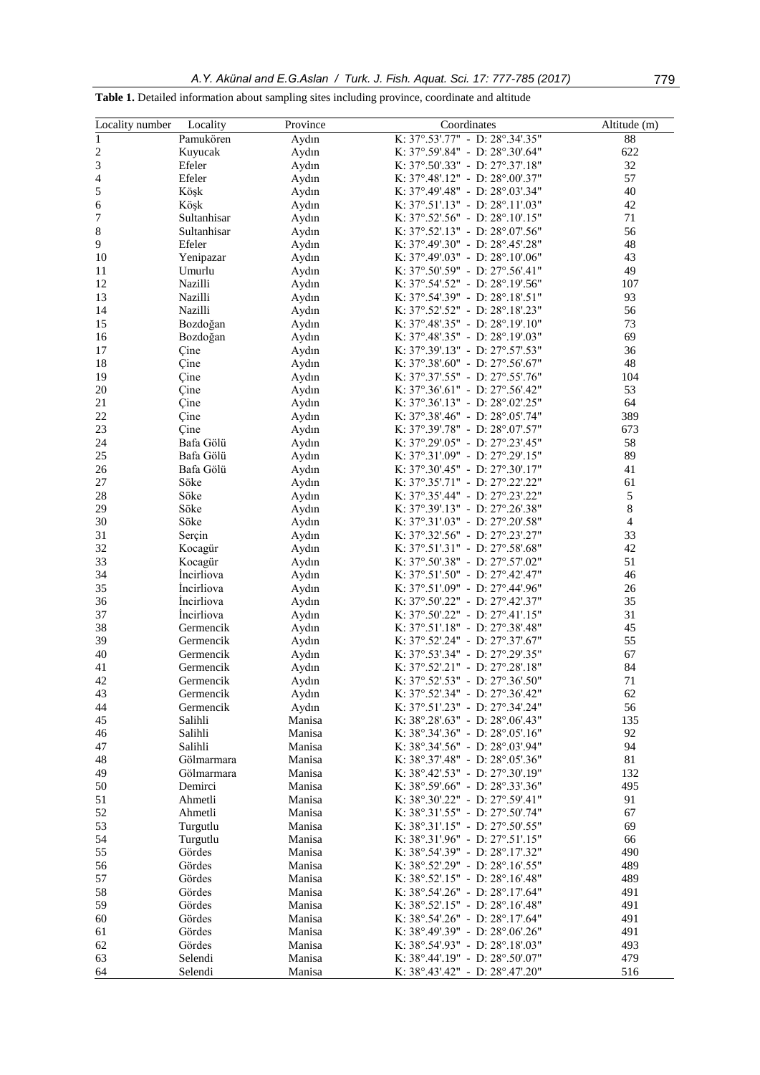**Table 1.** Detailed information about sampling sites including province, coordinate and altitude

| Locality number | Locality          | Province | Coordinates                                                        | Altitude (m)   |
|-----------------|-------------------|----------|--------------------------------------------------------------------|----------------|
| $\,1\,$         |                   |          | K: 37°.53'.77" - D: 28°.34'.35"                                    | $88\,$         |
|                 | Pamukören         | Aydın    |                                                                    | 622            |
| $\sqrt{2}$      | Kuyucak           | Aydın    | K: 37°.59'.84" - D: 28°.30'.64"                                    | 32             |
| $\mathfrak{Z}$  | Efeler<br>Efeler  | Aydın    | K: 37°.50'.33" - D: 27°.37'.18"<br>K: 37°.48'.12" - D: 28°.00'.37" | 57             |
| 4               |                   | Aydın    |                                                                    |                |
| 5               | Köşk              | Aydın    | K: 37°.49'.48" - D: 28°.03'.34"                                    | 40             |
| 6               | Köşk              | Aydın    | K: 37°.51'.13" - D: 28°.11'.03"                                    | 42             |
| 7               | Sultanhisar       | Aydın    | K: $37^{\circ}$ .52'.56" - D: $28^{\circ}$ .10'.15"                | 71             |
| $\,$ 8 $\,$     | Sultanhisar       | Aydın    | K: 37°.52'.13" - D: 28°.07'.56"                                    | 56             |
| $\mathbf{9}$    | Efeler            | Aydın    | K: 37°.49'.30" - D: 28°.45'.28"                                    | 48             |
| 10              | Yenipazar         | Aydın    | K: 37°.49'.03" - D: 28°.10'.06"                                    | 43             |
| 11              | Umurlu            | Aydın    | K: 37°.50'.59" - D: 27°.56'.41"                                    | 49             |
| 12              | Nazilli           | Aydın    | K: 37°.54'.52" - D: 28°.19'.56"                                    | 107            |
| 13              | Nazilli           | Aydın    | K: 37°.54'.39" - D: 28°.18'.51"                                    | 93             |
| 14              | Nazilli           | Aydın    | K: 37°.52'.52" - D: 28°.18'.23"                                    | 56             |
| 15              | Bozdoğan          | Aydın    | K: 37°.48'.35" - D: 28°.19'.10"                                    | 73             |
| 16              | Bozdoğan          | Aydın    | K: 37°.48'.35" - D: 28°.19'.03"                                    | 69             |
| 17              | Çine              | Aydın    | K: 37°.39'.13" - D: 27°.57'.53"                                    | 36             |
| 18              | Çine              | Aydın    | K: 37°.38'.60" - D: 27°.56'.67"                                    | 48             |
| 19              | Çine              | Aydın    | K: 37°.37'.55" - D: 27°.55'.76"                                    | 104            |
| $20\,$          | Çine              | Aydın    | K: 37°.36'.61" - D: 27°.56'.42"                                    | 53             |
| 21              | Çine              | Aydın    | K: $37^{\circ}.36'.13" - D: 28^{\circ}.02'.25"$                    | 64             |
| 22              | Çine              | Aydın    | K: 37°.38'.46" - D: 28°.05'.74"                                    | 389            |
| 23              | Çine              | Aydın    | K: 37°.39'.78" - D: 28°.07'.57"                                    | 673            |
| 24              | Bafa Gölü         | Aydın    | K: 37°.29'.05" - D: 27°.23'.45"                                    | 58             |
| 25              | Bafa Gölü         | Aydın    | K: 37°.31'.09" - D: 27°.29'.15"                                    | 89             |
| 26              | Bafa Gölü         | Aydın    | K: 37°.30'.45" - D: 27°.30'.17"                                    | 41             |
| $27\,$          | Söke              | Aydın    | K: 37°.35'.71" - D: 27°.22'.22"                                    | 61             |
| 28              | Söke              | Aydın    | K: 37°.35'.44" - D: 27°.23'.22"                                    | 5              |
| 29              | Söke              | Aydın    | K: 37°.39'.13" - D: 27°.26'.38"                                    | $\,8\,$        |
| 30              | Söke              | Aydın    | K: 37°.31'.03" - D: 27°.20'.58"                                    | $\overline{4}$ |
| 31              | Serçin            | Aydın    | K: 37°.32'.56" - D: 27°.23'.27"                                    | 33             |
| 32              | Kocagür           | Aydın    | K: 37°.51'.31" - D: 27°.58'.68"                                    | 42             |
| 33              | Kocagür           | Aydın    | K: 37°.50'.38" - D: 27°.57'.02"                                    | 51             |
| 34              | İncirliova        | Aydın    | K: 37°.51'.50" - D: 27°.42'.47"                                    | 46             |
| 35              | <i>incirliova</i> |          | K: 37°.51'.09" - D: 27°.44'.96"                                    | 26             |
|                 | <i>incirliova</i> | Aydın    |                                                                    | 35             |
| 36              |                   | Aydın    | K: 37°.50'.22" - D: 27°.42'.37"                                    | 31             |
| 37              | <i>Incirliova</i> | Aydın    | K: 37°.50'.22" - D: 27°.41'.15"                                    |                |
| 38              | Germencik         | Aydın    | K: 37°.51'.18" - D: 27°.38'.48"                                    | 45             |
| 39              | Germencik         | Aydın    | K: 37°.52'.24" - D: 27°.37'.67"                                    | 55             |
| 40              | Germencik         | Aydın    | K: 37°.53'.34" - D: 27°.29'.35"                                    | 67             |
| 41              | Germencik         | Aydın    | K: 37°.52'.21" - D: 27°.28'.18"                                    | 84             |
| 42              | Germencik         | Aydın    | K: 37°.52'.53" - D: 27°.36'.50"                                    | $71\,$         |
| 43              | Germencik         | Aydın    | K: 37°.52'.34" - D: 27°.36'.42"                                    | 62             |
| 44              | Germencik         | Aydın    | K: 37°.51'.23" - D: 27°.34'.24"                                    | 56             |
| 45              | Salihli           | Manisa   | K: 38°.28'.63" - D: 28°.06'.43"                                    | 135            |
| 46              | Salihli           | Manisa   | K: $38^{\circ}.34' .36" - D: 28^{\circ}.05' .16"$                  | 92             |
| 47              | Salihli           | Manisa   | K: 38°.34'.56" - D: 28°.03'.94"                                    | 94             |
| 48              | Gölmarmara        | Manisa   | K: 38°.37'.48" - D: 28°.05'.36"                                    | 81             |
| 49              | Gölmarmara        | Manisa   | K: $38^{\circ}.42'.53" - D: 27^{\circ}.30'.19"$                    | 132            |
| 50              | Demirci           | Manisa   | K: 38°.59'.66" - D: 28°.33'.36"                                    | 495            |
| 51              | Ahmetli           | Manisa   | K: 38°.30'.22" - D: 27°.59'.41"                                    | 91             |
| 52              | Ahmetli           | Manisa   | K: 38°.31'.55" - D: 27°.50'.74"                                    | 67             |
| 53              | Turgutlu          | Manisa   | K: 38°.31'.15" - D: 27°.50'.55"                                    | 69             |
| 54              | Turgutlu          | Manisa   | K: 38°.31'.96" - D: 27°.51'.15"                                    | 66             |
| 55              | Gördes            | Manisa   | K: 38°.54'.39" - D: 28°.17'.32"                                    | 490            |
| 56              | Gördes            | Manisa   | K: $38^{\circ}.52'.29'' - D: 28^{\circ}.16'.55''$                  | 489            |
| 57              | Gördes            | Manisa   | K: 38°.52'.15" - D: 28°.16'.48"                                    | 489            |
| 58              | Gördes            | Manisa   | K: $38^{\circ}.54'.26" - D: 28^{\circ}.17'.64"$                    | 491            |
| 59              | Gördes            | Manisa   | K: 38°.52'.15" - D: 28°.16'.48"                                    | 491            |
| 60              | Gördes            | Manisa   | K: 38°.54'.26" - D: 28°.17'.64"                                    | 491            |
| 61              | Gördes            | Manisa   | K: $38^{\circ}.49'.39'' - D: 28^{\circ}.06'.26''$                  | 491            |
| 62              | Gördes            | Manisa   | K: $38^{\circ}.54'.93" - D: 28^{\circ}.18'.03"$                    | 493            |
| 63              | Selendi           | Manisa   | K: 38°.44'.19" - D: 28°.50'.07"                                    | 479            |
| 64              | Selendi           | Manisa   | K: 38°.43'.42" - D: 28°.47'.20"                                    | 516            |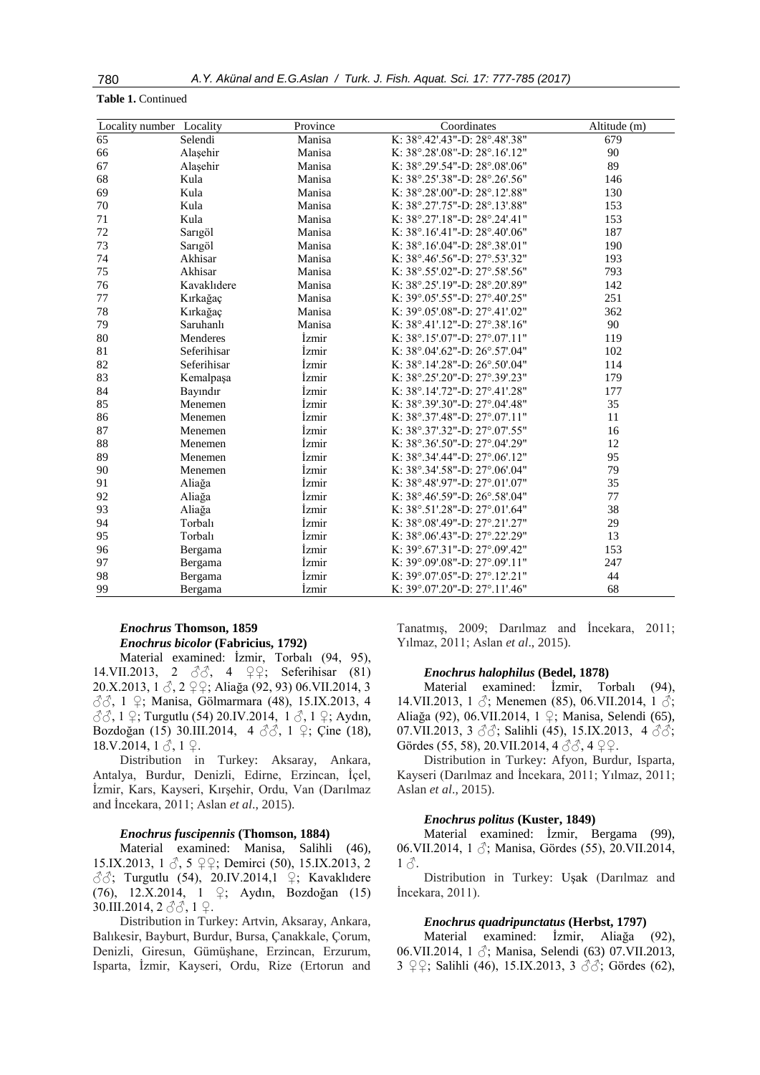#### **Table 1.** Continued

| Locality number Locality |             | Province     | Coordinates                                        | Altitude (m) |
|--------------------------|-------------|--------------|----------------------------------------------------|--------------|
| 65                       | Selendi     | Manisa       | K: 38°.42'.43"-D: 28°.48'.38"                      | 679          |
| 66                       | Alaşehir    | Manisa       | K: 38°.28'.08"-D: 28°.16'.12"                      | 90           |
| 67                       | Alaşehir    | Manisa       | K: 38°.29'.54"-D: 28°.08'.06"                      | 89           |
| 68                       | Kula        | Manisa       | K: 38°.25'.38"-D: 28°.26'.56"                      | 146          |
| 69                       | Kula        | Manisa       | K: 38°.28'.00"-D: 28°.12'.88"                      | 130          |
| $70\,$                   | Kula        | Manisa       | K: 38°.27'.75"-D: 28°.13'.88"                      | 153          |
| 71                       | Kula        | Manisa       | K: 38°.27'.18"-D: 28°.24'.41"                      | 153          |
| 72                       | Sarıgöl     | Manisa       | K: 38°.16'.41"-D: 28°.40'.06"                      | 187          |
| 73                       | Sarıgöl     | Manisa       | K: $38^{\circ}.16' .04"$ -D: $28^{\circ}.38' .01"$ | 190          |
| 74                       | Akhisar     | Manisa       | K: 38°.46'.56"-D: 27°.53'.32"                      | 193          |
| 75                       | Akhisar     | Manisa       | K: 38°.55'.02"-D: 27°.58'.56"                      | 793          |
| 76                       | Kavaklıdere | Manisa       | K: 38°.25'.19"-D: 28°.20'.89"                      | 142          |
| 77                       | Kırkağaç    | Manisa       | K: 39°.05'.55"-D: 27°.40'.25"                      | 251          |
| $78\,$                   | Kırkağaç    | Manisa       | K: 39°.05'.08"-D: 27°.41'.02"                      | 362          |
| 79                       | Saruhanlı   | Manisa       | K: 38°.41'.12"-D: 27°.38'.16"                      | 90           |
| 80                       | Menderes    | <i>Izmir</i> | K: $38^{\circ}.15' .07" - D: 27^{\circ}.07'.11"$   | 119          |
| 81                       | Seferihisar | <i>Izmir</i> | K: 38°.04'.62"-D: 26°.57'.04"                      | 102          |
| 82                       | Seferihisar | <i>Izmir</i> | K: 38°.14'.28"-D: 26°.50'.04"                      | 114          |
| 83                       | Kemalpaşa   | Izmir        | K: 38°.25'.20"-D: 27°.39'.23"                      | 179          |
| 84                       | Bayındır    | <i>Izmir</i> | K: 38°.14'.72"-D: 27°.41'.28"                      | 177          |
| 85                       | Menemen     | İzmir        | K: 38°.39'.30"-D: 27°.04'.48"                      | 35           |
| 86                       | Menemen     | <i>Izmir</i> | K: 38°.37'.48"-D: 27°.07'.11"                      | 11           |
| 87                       | Menemen     | İzmir        | K: 38°.37'.32"-D: 27°.07'.55"                      | 16           |
| 88                       | Menemen     | <i>Izmir</i> | K: 38°.36'.50"-D: 27°.04'.29"                      | 12           |
| 89                       | Menemen     | İzmir        | K: 38°.34'.44"-D: 27°.06'.12"                      | 95           |
| 90                       | Menemen     | Izmir        | K: 38°.34'.58"-D: 27°.06'.04"                      | 79           |
| 91                       | Aliağa      | Izmir        | K: 38°.48'.97"-D: 27°.01'.07"                      | 35           |
| 92                       | Aliağa      | İzmir        | K: 38°.46'.59"-D: 26°.58'.04"                      | 77           |
| 93                       | Aliağa      | İzmir        | K: 38°.51'.28"-D: 27°.01'.64"                      | 38           |
| 94                       | Torbalı     | İzmir        | K: 38°.08'.49"-D: 27°.21'.27"                      | 29           |
| 95                       | Torbalı     | İzmir        | K: 38°.06'.43"-D: 27°.22'.29"                      | 13           |
| 96                       | Bergama     | İzmir        | K: 39°.67'.31"-D: 27°.09'.42"                      | 153          |
| 97                       | Bergama     | İzmir        | K: 39°.09'.08"-D: 27°.09'.11"                      | 247          |
| 98                       | Bergama     | İzmir        | K: 39°.07'.05"-D: 27°.12'.21"                      | 44           |
| 99                       | Bergama     | İzmir        | K: $39^{\circ}.07'.20"$ -D: $27^{\circ}.11'.46"$   | 68           |

# *Enochrus* **Thomson, 1859** *Enochrus bicolor* **(Fabricius, 1792)**

Material examined: İzmir, Torbalı (94, 95), 14.VII.2013, 2 ♂♂, 4 ♀♀; Seferihisar (81) 20.X.2013, 1 ♂, 2 ♀♀; Aliağa (92, 93) 06.VII.2014, 3 ♂♂, 1 ♀; Manisa, Gölmarmara (48), 15.IX.2013, 4  $\partial$  $\partial$ , 1  $\varphi$ ; Turgutlu (54) 20.IV.2014, 1  $\partial$ , 1  $\varphi$ ; Aydın, Bozdoğan (15) 30.III.2014, 4 ♂♂, 1 ♀; Çine (18),  $18.V.2014, 1 \delta, 1 \Omega.$ 

Distribution in Turkey: Aksaray, Ankara, Antalya, Burdur, Denizli, Edirne, Erzincan, İçel, İzmir, Kars, Kayseri, Kırşehir, Ordu, Van (Darılmaz and İncekara, 2011; Aslan *et al*., 2015).

### *Enochrus fuscipennis* **(Thomson, 1884)**

Material examined: Manisa, Salihli (46), 15.IX.2013, 1 ♂, 5 ♀♀; Demirci (50), 15.IX.2013, 2  $\sqrt{3}$ ; Turgutlu (54), 20.IV.2014,1  $\sqrt{2}$ ; Kavaklıdere (76), 12.X.2014, 1 ♀; Aydın, Bozdoğan (15) 30.III.2014, 2 3 3, 1 ♀.

Distribution in Turkey: Artvin, Aksaray, Ankara, Balıkesir, Bayburt, Burdur, Bursa, Çanakkale, Çorum, Denizli, Giresun, Gümüşhane, Erzincan, Erzurum, Isparta, İzmir, Kayseri, Ordu, Rize (Ertorun and Tanatmış, 2009; Darılmaz and İncekara, 2011; Yılmaz, 2011; Aslan *et al*., 2015).

#### *Enochrus halophilus* **(Bedel, 1878)**

Material examined: İzmir, Torbalı (94), 14.VII.2013, 1  $\Diamond$ ; Menemen (85), 06.VII.2014, 1  $\Diamond$ ; Aliağa (92), 06.VII.2014, 1 ♀; Manisa, Selendi (65), 07.VII.2013, 3  $\Im$ ; Salihli (45), 15.IX.2013, 4  $\Im$ ; Gördes (55, 58), 20. VII. 2014, 4  $\Im$   $\Im$ , 4  $\Im$   $\Im$ .

Distribution in Turkey: Afyon, Burdur, Isparta, Kayseri (Darılmaz and İncekara, 2011; Yılmaz, 2011; Aslan *et al*., 2015).

#### *Enochrus politus* **(Kuster, 1849)**

Material examined: İzmir, Bergama (99), 06.VII.2014, 1 ♂; Manisa, Gördes (55), 20.VII.2014,  $1\delta$ .

Distribution in Turkey: Uşak (Darılmaz and İncekara, 2011).

### *Enochrus quadripunctatus* **(Herbst, 1797)**

Material examined: İzmir, Aliağa (92), 06.VII.2014, 1  $\Diamond$ ; Manisa, Selendi (63) 07.VII.2013, 3 ♀♀; Salihli (46), 15.IX.2013, 3 ♂♂; Gördes (62),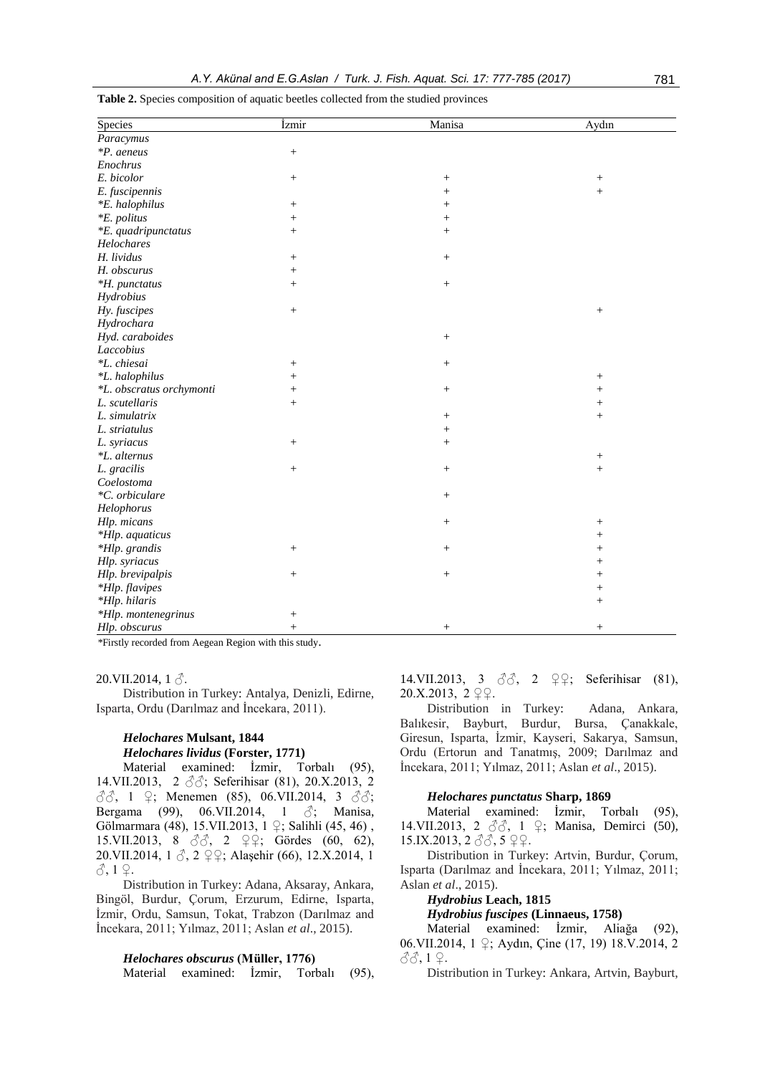| Species                  | İzmir            | Manisa          | Aydın           |
|--------------------------|------------------|-----------------|-----------------|
| Paracymus                |                  |                 |                 |
| *P. aeneus               | $\,+\,$          |                 |                 |
| Enochrus                 |                  |                 |                 |
| E. bicolor               | $\,+\,$          | $^+$            |                 |
| E. fuscipennis           |                  | $^{+}$          | $^{+}$          |
| *E. halophilus           | $\! + \!\!\!\!$  | $^{+}$          |                 |
| <i>*E. politus</i>       | $\! + \!\!\!\!$  | $^{+}$          |                 |
| *E. quadripunctatus      | $^{+}$           | $^{+}$          |                 |
| Helochares               |                  |                 |                 |
| H. lividus               | $^{+}$           | $^{+}$          |                 |
| H. obscurus              | $^{+}$           |                 |                 |
| *H. punctatus            | $^{+}$           | $^{+}$          |                 |
| Hydrobius                |                  |                 |                 |
| Hy. fuscipes             | $\,+\,$          |                 | $\! + \!\!\!\!$ |
| Hydrochara               |                  |                 |                 |
| Hyd. caraboides          |                  | $\! + \!\!\!\!$ |                 |
| Laccobius                |                  |                 |                 |
| *L. chiesai              | $\! + \!\!\!\!$  | $^{+}$          |                 |
| *L. halophilus           | $^{+}$           |                 | $\! + \!\!\!\!$ |
| *L. obscratus orchymonti | $^{+}$           | $^{+}$          | $^{+}$          |
| L. scutellaris           | $^{+}$           |                 | $^{+}$          |
| L. simulatrix            |                  | $^{+}$          | $^{+}$          |
| L. striatulus            |                  |                 |                 |
| L. syriacus              | $^{+}$           | $^{+}$          |                 |
| <i>*L. alternus</i>      |                  |                 | $\! + \!\!\!\!$ |
| L. gracilis              | $\boldsymbol{+}$ | $^{+}$          | $^{+}$          |
| Coelostoma               |                  |                 |                 |
| *C. orbiculare           |                  | $^{+}$          |                 |
| Helophorus               |                  |                 |                 |
| Hlp. micans              |                  | $^{+}$          | $^{+}$          |
| *Hlp. aquaticus          |                  |                 | $^{+}$          |
| *Hlp. grandis            | $^{+}$           | $^{+}$          | $^{+}$          |
| Hlp. syriacus            |                  |                 | $^+$            |
| Hlp. brevipalpis         | $^{+}$           | $^{+}$          | $^{+}$          |
| *Hlp. flavipes           |                  |                 | $^{+}$          |
| *Hlp. hilaris            |                  |                 | $^{+}$          |
| *Hlp. montenegrinus      | $\,+\,$          |                 |                 |
| Hlp. obscurus            | $^{+}$           | $^{+}$          | $\! + \!\!\!\!$ |

**Table 2.** Species composition of aquatic beetles collected from the studied provinces

*\**Firstly recorded from Aegean Region with this study.

20.VII.2014,  $1 \land$ .

Distribution in Turkey: Antalya, Denizli, Edirne, Isparta, Ordu (Darılmaz and İncekara, 2011).

# *Helochares* **Mulsant, 1844** *Helochares lividus* **(Forster, 1771)**

Material examined: İzmir, Torbalı (95), 14.VII.2013, 2 ♂♂; Seferihisar (81), 20.X.2013, 2  $\Im$  $\Im$ , 1  $\Im$ ; Menemen (85), 06.VII.2014, 3  $\Im$  $\Im$ ; Bergama (99), 06.VII.2014, 1  $\Diamond$ ; Manisa, Gölmarmara (48), 15.VII.2013, 1 ♀; Salihli (45, 46) , 15.VII.2013, 8  $\delta\delta$ , 2  $\varphi$  $\varphi$ ; Gördes (60, 62), 20.VII.2014, 1 ♂, 2 ♀♀; Alaşehir (66), 12.X.2014, 1  $3,1$   $2$ .

Distribution in Turkey: Adana, Aksaray, Ankara, Bingöl, Burdur, Çorum, Erzurum, Edirne, Isparta, İzmir, Ordu, Samsun, Tokat, Trabzon (Darılmaz and İncekara, 2011; Yılmaz, 2011; Aslan *et al*., 2015).

#### *Helochares obscurus* **(Müller, 1776)**

Material examined: İzmir, Torbalı (95),

14.VII.2013, 3  $\partial \partial$ , 2  $\partial$ ,  $\partial$ ; Seferihisar (81), 20.X.2013, 2 ♀♀.

Distribution in Turkey: Adana, Ankara, Balıkesir, Bayburt, Burdur, Bursa, Çanakkale, Giresun, Isparta, İzmir, Kayseri, Sakarya, Samsun, Ordu (Ertorun and Tanatmış, 2009; Darılmaz and İncekara, 2011; Yılmaz, 2011; Aslan *et al*., 2015).

#### *Helochares punctatus* **Sharp, 1869**

Material examined: İzmir, Torbalı (95), 14.VII.2013, 2 33, 1 ♀; Manisa, Demirci (50), 15.IX.2013, 2 ♂ 3, 5 ♀♀.

Distribution in Turkey: Artvin, Burdur, Çorum, Isparta (Darılmaz and İncekara, 2011; Yılmaz, 2011; Aslan *et al*., 2015).

# *Hydrobius* **Leach, 1815**

*Hydrobius fuscipes* **(Linnaeus, 1758)**

Material examined: İzmir, Aliağa (92), 06.VII.2014, 1 ♀; Aydın, Çine (17, 19) 18.V.2014, 2 ♂♂, 1 ♀.

Distribution in Turkey: Ankara, Artvin, Bayburt,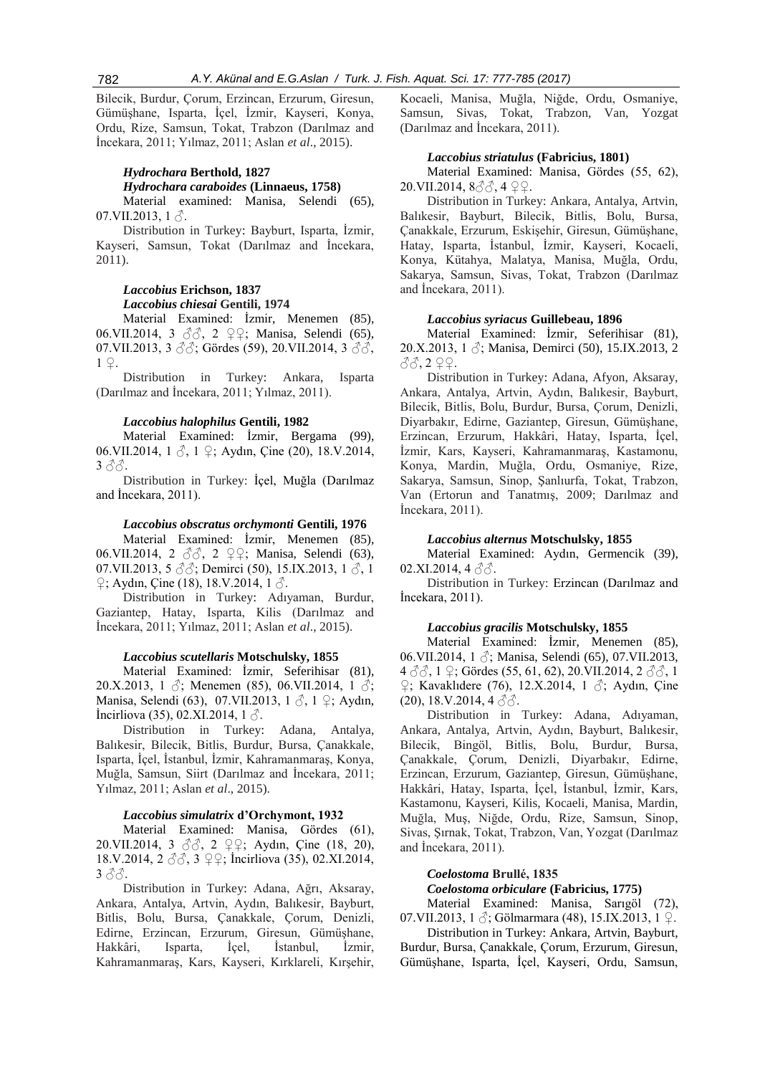Bilecik, Burdur, Çorum, Erzincan, Erzurum, Giresun, Gümüşhane, Isparta, İçel, İzmir, Kayseri, Konya, Ordu, Rize, Samsun, Tokat, Trabzon (Darılmaz and İncekara, 2011; Yılmaz, 2011; Aslan *et al*., 2015).

# *Hydrochara* **Berthold, 1827** *Hydrochara caraboides* **(Linnaeus, 1758)**

Material examined: Manisa, Selendi (65), 07.VII.2013,  $1 \delta$ .

Distribution in Turkey: Bayburt, Isparta, İzmir, Kayseri, Samsun, Tokat (Darılmaz and İncekara, 2011).

# *Laccobius* **Erichson, 1837** *Laccobius chiesai* **Gentili, 1974**

Material Examined: İzmir, Menemen (85), 06.VII.2014, 3 ♂♂, 2 ♀♀; Manisa, Selendi (65), 07.VII.2013, 3  $\Im$ ; Gördes (59), 20.VII.2014, 3  $\Im$  $\Im$ , 1 ♀.

Distribution in Turkey: Ankara, Isparta (Darılmaz and İncekara, 2011; Yılmaz, 2011).

#### *Laccobius halophilus* **Gentili, 1982**

Material Examined: İzmir, Bergama (99), 06.VII.2014, 1 ♂, 1 ♀; Aydın, Çine (20), 18.V.2014, 3 ♂♂.

Distribution in Turkey: İçel, Muğla (Darılmaz and İncekara, 2011).

# *Laccobius obscratus orchymonti* **Gentili, 1976**

Material Examined: İzmir, Menemen (85), 06.VII.2014, 2 ♂♂, 2 ♀♀; Manisa, Selendi (63), 07.VII.2013, 5  $\Im$ ; Demirci (50), 15.IX.2013, 1  $\Im$ , 1  $\sqrt{2}$ ; Aydın, Çine (18), 18.V.2014, 1  $\sqrt{3}$ .

Distribution in Turkey: Adıyaman, Burdur, Gaziantep, Hatay, Isparta, Kilis (Darılmaz and İncekara, 2011; Yılmaz, 2011; Aslan *et al*., 2015).

#### *Laccobius scutellaris* **Motschulsky, 1855**

Material Examined: İzmir, Seferihisar (81), 20.X.2013, 1  $\Diamond$ ; Menemen (85), 06.VII.2014, 1  $\Diamond$ ; Manisa, Selendi (63), 07.VII.2013, 1 ♂, 1 ♀; Aydın, Incirliova (35), 02.XI.2014, 1 $\beta$ .

Distribution in Turkey: Adana, Antalya, Balıkesir, Bilecik, Bitlis, Burdur, Bursa, Çanakkale, Isparta, İçel, İstanbul, İzmir, Kahramanmaraş, Konya, Muğla, Samsun, Siirt (Darılmaz and İncekara, 2011; Yılmaz, 2011; Aslan *et al*., 2015).

#### *Laccobius simulatrix* **d'Orchymont, 1932**

Material Examined: Manisa, Gördes (61), 20.VII.2014, 3 ♂♂, 2 ♀♀; Aydın, Çine (18, 20), 18.V.2014, 2 ♂♂, 3 ♀♀; İncirliova (35), 02.XI.2014,  $3\tilde{o}$ .

Distribution in Turkey: Adana, Ağrı, Aksaray, Ankara, Antalya, Artvin, Aydın, Balıkesir, Bayburt, Bitlis, Bolu, Bursa, Çanakkale, Çorum, Denizli, Edirne, Erzincan, Erzurum, Giresun, Gümüşhane, Hakkâri, Isparta, İçel, İstanbul, İzmir, Kahramanmaraş, Kars, Kayseri, Kırklareli, Kırşehir, Kocaeli, Manisa, Muğla, Niğde, Ordu, Osmaniye, Samsun, Sivas, Tokat, Trabzon, Van, Yozgat (Darılmaz and İncekara, 2011).

# *Laccobius striatulus* **(Fabricius, 1801)**

Material Examined: Manisa, Gördes (55, 62), 20.VII.2014, 8♂♂, 4 ♀♀.

Distribution in Turkey: Ankara, Antalya, Artvin, Balıkesir, Bayburt, Bilecik, Bitlis, Bolu, Bursa, Çanakkale, Erzurum, Eskişehir, Giresun, Gümüşhane, Hatay, Isparta, İstanbul, İzmir, Kayseri, Kocaeli, Konya, Kütahya, Malatya, Manisa, Muğla, Ordu, Sakarya, Samsun, Sivas, Tokat, Trabzon (Darılmaz and İncekara, 2011).

#### *Laccobius syriacus* **Guillebeau, 1896**

Material Examined: İzmir, Seferihisar (81), 20.X.2013, 1  $\Diamond$ ; Manisa, Demirci (50), 15.IX.2013, 2 ♂♂, 2 ♀♀.

Distribution in Turkey: Adana, Afyon, Aksaray, Ankara, Antalya, Artvin, Aydın, Balıkesir, Bayburt, Bilecik, Bitlis, Bolu, Burdur, Bursa, Çorum, Denizli, Diyarbakır, Edirne, Gaziantep, Giresun, Gümüşhane, Erzincan, Erzurum, Hakkâri, Hatay, Isparta, İçel, İzmir, Kars, Kayseri, Kahramanmaraş, Kastamonu, Konya, Mardin, Muğla, Ordu, Osmaniye, Rize, Sakarya, Samsun, Sinop, Şanlıurfa, Tokat, Trabzon, Van (Ertorun and Tanatmış, 2009; Darılmaz and İncekara, 2011).

#### *Laccobius alternus* **Motschulsky, 1855**

Material Examined: Aydın, Germencik (39), 02.XI.2014,  $4 \, \text{\AA}$ .

Distribution in Turkey: Erzincan (Darılmaz and İncekara, 2011).

# *Laccobius gracilis* **Motschulsky, 1855**

Material Examined: İzmir, Menemen (85), 06.VII.2014, 1 ♂; Manisa, Selendi (65), 07.VII.2013,  $4 \text{ }\partial\phi, 1 \text{ } \mathcal{Q}$ ; Gördes (55, 61, 62), 20.VII.2014, 2  $\partial\phi, 1$  $\frac{1}{2}$ ; Kavaklıdere (76), 12.X.2014, 1  $\circ$ ; Aydın, Çine  $(20)$ , 18.V.2014, 4  $\partial \delta$ .

Distribution in Turkey: Adana, Adıyaman, Ankara, Antalya, Artvin, Aydın, Bayburt, Balıkesir, Bilecik, Bingöl, Bitlis, Bolu, Burdur, Bursa, Çanakkale, Çorum, Denizli, Diyarbakır, Edirne, Erzincan, Erzurum, Gaziantep, Giresun, Gümüşhane, Hakkâri, Hatay, Isparta, İçel, İstanbul, İzmir, Kars, Kastamonu, Kayseri, Kilis, Kocaeli, Manisa, Mardin, Muğla, Muş, Niğde, Ordu, Rize, Samsun, Sinop, Sivas, Şırnak, Tokat, Trabzon, Van, Yozgat (Darılmaz and İncekara, 2011).

# *Coelostoma* **Brullé, 1835**

# *Coelostoma orbiculare* **(Fabricius, 1775)**

Material Examined: Manisa, Sarıgöl (72), 07.VII.2013, 1 $\sqrt{3}$ ; Gölmarmara (48), 15.IX.2013, 1 $\sqrt{2}$ .

Distribution in Turkey: Ankara, Artvin, Bayburt, Burdur, Bursa, Çanakkale, Çorum, Erzurum, Giresun, Gümüşhane, Isparta, İçel, Kayseri, Ordu, Samsun,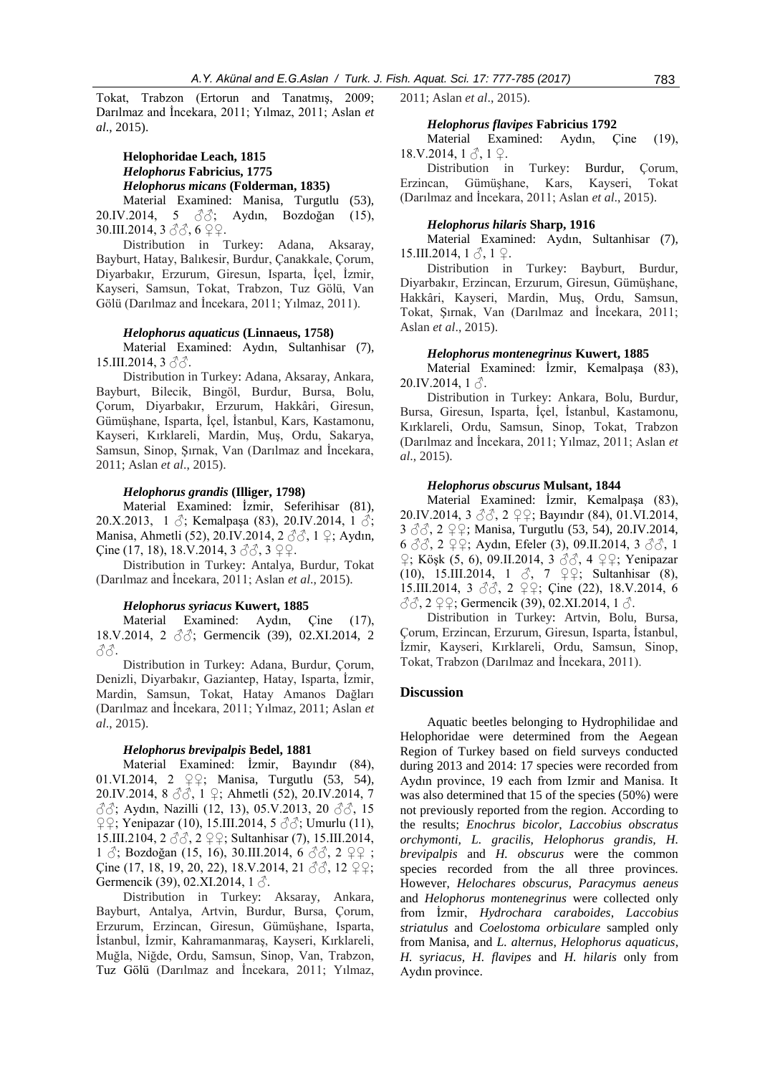Tokat, Trabzon (Ertorun and Tanatmış, 2009; Darılmaz and İncekara, 2011; Yılmaz, 2011; Aslan *et al*., 2015).

# **Helophoridae Leach, 1815** *Helophorus* **Fabricius, 1775** *Helophorus micans* **(Folderman, 1835)**

Material Examined: Manisa, Turgutlu (53), 20.IV.2014, 5 ♂♂; Aydın, Bozdoğan (15), 30.III.2014, 3 ♂♂, 6 ♀♀.

Distribution in Turkey: Adana, Aksaray, Bayburt, Hatay, Balıkesir, Burdur, Çanakkale, Çorum, Diyarbakır, Erzurum, Giresun, Isparta, İçel, İzmir, Kayseri, Samsun, Tokat, Trabzon, Tuz Gölü, Van Gölü (Darılmaz and İncekara, 2011; Yılmaz, 2011).

#### *Helophorus aquaticus* **(Linnaeus, 1758)**

Material Examined: Aydın, Sultanhisar (7), 15.III.2014, 3 33.

Distribution in Turkey: Adana, Aksaray, Ankara, Bayburt, Bilecik, Bingöl, Burdur, Bursa, Bolu, Çorum, Diyarbakır, Erzurum, Hakkâri, Giresun, Gümüşhane, Isparta, İçel, İstanbul, Kars, Kastamonu, Kayseri, Kırklareli, Mardin, Muş, Ordu, Sakarya, Samsun, Sinop, Şırnak, Van (Darılmaz and İncekara, 2011; Aslan *et al*., 2015).

#### *Helophorus grandis* **(Illiger, 1798)**

Material Examined: İzmir, Seferihisar (81), 20.X.2013, 1  $\Im$ ; Kemalpaşa (83), 20.IV.2014, 1  $\Im$ ; Manisa, Ahmetli (52), 20.IV.2014, 2 3 3, 1 ♀; Aydın, Çine (17, 18), 18.V.2014, 3  $\Im$   $\Im$ , 3  $\Im$   $\varphi$ .

Distribution in Turkey: Antalya, Burdur, Tokat (Darılmaz and İncekara, 2011; Aslan *et al*., 2015).

#### *Helophorus syriacus* **Kuwert, 1885**

Material Examined: Aydın, Çine (17), 18.V.2014, 2 ♂♂; Germencik (39), 02.XI.2014, 2 ♂♂.

Distribution in Turkey: Adana, Burdur, Çorum, Denizli, Diyarbakır, Gaziantep, Hatay, Isparta, İzmir, Mardin, Samsun, Tokat, Hatay Amanos Dağları (Darılmaz and İncekara, 2011; Yılmaz, 2011; Aslan *et al*., 2015).

#### *Helophorus brevipalpis* **Bedel, 1881**

Material Examined: İzmir, Bayındır (84), 01.VI.2014, 2 ♀♀; Manisa, Turgutlu (53, 54), 20.IV.2014, 8 ♂♂, 1 ♀; Ahmetli (52), 20.IV.2014, 7 ♂♂; Aydın, Nazilli (12, 13), 05.V.2013, 20 ♂♂, 15  $\mathcal{Q} \mathcal{Q}$ ; Yenipazar (10), 15.III.2014, 5  $\partial \mathcal{A}$ ; Umurlu (11), 15.III.2104, 2 ♂♂, 2 ♀♀; Sultanhisar (7), 15.III.2014, 1  $\Diamond$ ; Bozdoğan (15, 16), 30.III.2014, 6  $\Diamond$  $\Diamond$ , 2  $\Diamond$   $\Diamond$ Qine (17, 18, 19, 20, 22), 18.V.2014, 21  $\Im \Im$ , 12  $\Im$ , 2 $\Im$ ; Germencik (39), 02.XI.2014,  $1 \delta$ .

Distribution in Turkey: Aksaray, Ankara, Bayburt, Antalya, Artvin, Burdur, Bursa, Çorum, Erzurum, Erzincan, Giresun, Gümüşhane, Isparta, İstanbul, İzmir, Kahramanmaraş, Kayseri, Kırklareli, Muğla, Niğde, Ordu, Samsun, Sinop, Van, Trabzon, Tuz Gölü (Darılmaz and İncekara, 2011; Yılmaz,

2011; Aslan *et al*., 2015).

#### *Helophorus flavipes* **Fabricius 1792**

Material Examined: Aydın, Çine (19),  $18.V.2014, 1 \land 1 \Omega$ .

Distribution in Turkey: Burdur, Corum, Erzincan, Gümüşhane, Kars, Kayseri, Tokat (Darılmaz and İncekara, 2011; Aslan *et al*., 2015).

#### *Helophorus hilaris* **Sharp, 1916**

Material Examined: Aydın, Sultanhisar (7), 15.III.2014,  $1 \delta$ ,  $1 \Omega$ .

Distribution in Turkey: Bayburt, Burdur, Diyarbakır, Erzincan, Erzurum, Giresun, Gümüşhane, Hakkâri, Kayseri, Mardin, Muş, Ordu, Samsun, Tokat, Şırnak, Van (Darılmaz and İncekara, 2011; Aslan *et al*., 2015).

### *Helophorus montenegrinus* **Kuwert, 1885**

Material Examined: İzmir, Kemalpaşa (83),  $20.IV.2014, 1 \delta$ .

Distribution in Turkey: Ankara, Bolu, Burdur, Bursa, Giresun, Isparta, İçel, İstanbul, Kastamonu, Kırklareli, Ordu, Samsun, Sinop, Tokat, Trabzon (Darılmaz and İncekara, 2011; Yılmaz, 2011; Aslan *et al*., 2015).

#### *Helophorus obscurus* **Mulsant, 1844**

Material Examined: İzmir, Kemalpaşa (83), 20.IV.2014, 3 ♂♂, 2 ♀♀; Bayındır (84), 01.VI.2014, 3 ♂♂, 2 ♀♀; Manisa, Turgutlu (53, 54), 20.IV.2014, 6  $\Im$  $\Im$ , 2  $\Im$   $\Im$ ; Aydın, Efeler (3), 09.II.2014, 3  $\Im$  $\Im$ , 1 ♀; Köşk (5, 6), 09.II.2014, 3 ♂♂, 4 ♀♀; Yenipazar (10), 15.III.2014, 1  $\Im$ , 7  $\Im$ , Sultanhisar (8), 15.III.2014, 3 ♂♂, 2 ♀♀; Çine (22), 18.V.2014, 6 ♂♂, 2 ♀♀; Germencik (39), 02.XI.2014, 1 ♂.

Distribution in Turkey: Artvin, Bolu, Bursa, Çorum, Erzincan, Erzurum, Giresun, Isparta, İstanbul, İzmir, Kayseri, Kırklareli, Ordu, Samsun, Sinop, Tokat, Trabzon (Darılmaz and İncekara, 2011).

# **Discussion**

Aquatic beetles belonging to Hydrophilidae and Helophoridae were determined from the Aegean Region of Turkey based on field surveys conducted during 2013 and 2014: 17 species were recorded from Aydın province, 19 each from Izmir and Manisa. It was also determined that 15 of the species (50%) were not previously reported from the region. According to the results; *Enochrus bicolor*, *Laccobius obscratus orchymonti, L. gracilis*, *Helophorus grandis, H. brevipalpis* and *H. obscurus* were the common species recorded from the all three provinces. However, *Helochares obscurus*, *Paracymus aeneus* and *Helophorus montenegrinus* were collected only from İzmir, *Hydrochara caraboides*, *Laccobius striatulus* and *Coelostoma orbiculare* sampled only from Manisa, and *L. alternus*, *Helophorus aquaticus*, *H.* s*yriacus, H. flavipes* and *H. hilaris* only from Aydın province.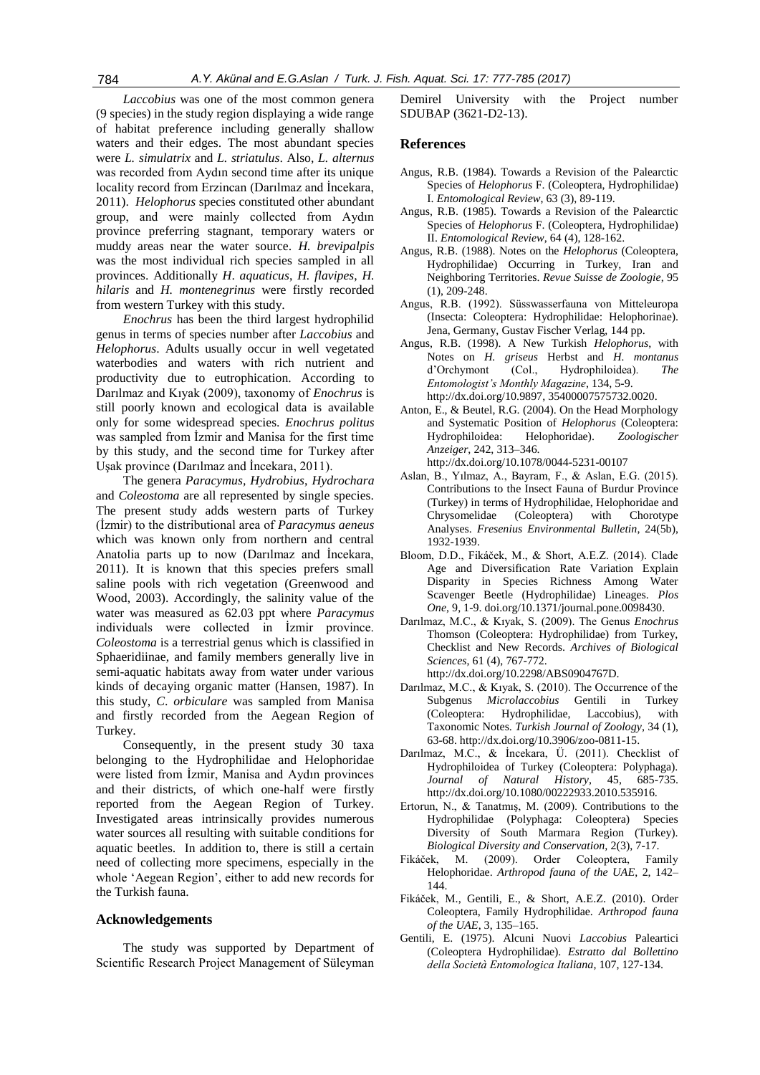*Laccobius* was one of the most common genera (9 species) in the study region displaying a wide range of habitat preference including generally shallow waters and their edges. The most abundant species were *L. simulatrix* and *L. striatulus*. Also, *L. alternus* was recorded from Aydın second time after its unique locality record from Erzincan (Darılmaz and İncekara, 2011). *Helophorus* species constituted other abundant group, and were mainly collected from Aydın province preferring stagnant, temporary waters or muddy areas near the water source. *H. brevipalpis* was the most individual rich species sampled in all provinces. Additionally *H*. *aquaticus*, *H. flavipes*, *H. hilaris* and *H. montenegrinus* were firstly recorded from western Turkey with this study.

*Enochrus* has been the third largest hydrophilid genus in terms of species number after *Laccobius* and *Helophorus*. Adults usually occur in well vegetated waterbodies and waters with rich nutrient and productivity due to eutrophication. According to Darılmaz and Kıyak (2009), taxonomy of *Enochrus* is still poorly known and ecological data is available only for some widespread species. *Enochrus politus* was sampled from İzmir and Manisa for the first time by this study, and the second time for Turkey after Uşak province (Darılmaz and İncekara, 2011).

The genera *Paracymus, Hydrobius*, *Hydrochara* and *Coleostoma* are all represented by single species. The present study adds western parts of Turkey (İzmir) to the distributional area of *Paracymus aeneus* which was known only from northern and central Anatolia parts up to now (Darılmaz and İncekara, 2011). It is known that this species prefers small saline pools with rich vegetation (Greenwood and Wood, 2003). Accordingly, the salinity value of the water was measured as 62.03 ppt where *Paracymus* individuals were collected in İzmir province. *Coleostoma* is a terrestrial genus which is classified in Sphaeridiinae, and family members generally live in semi-aquatic habitats away from water under various kinds of decaying organic matter (Hansen, 1987). In this study, *C*. *orbiculare* was sampled from Manisa and firstly recorded from the Aegean Region of Turkey.

Consequently, in the present study 30 taxa belonging to the Hydrophilidae and Helophoridae were listed from İzmir, Manisa and Aydın provinces and their districts, of which one-half were firstly reported from the Aegean Region of Turkey. Investigated areas intrinsically provides numerous water sources all resulting with suitable conditions for aquatic beetles. In addition to, there is still a certain need of collecting more specimens, especially in the whole 'Aegean Region', either to add new records for the Turkish fauna.

# **Acknowledgements**

The study was supported by Department of Scientific Research Project Management of Süleyman Demirel University with the Project number SDUBAP (3621-D2-13).

#### **References**

- Angus, R.B. (1984). Towards a Revision of the Palearctic Species of *Helophorus* F. (Coleoptera, Hydrophilidae) I. *Entomological Review*, 63 (3), 89-119.
- Angus, R.B. (1985). Towards a Revision of the Palearctic Species of *Helophorus* F. (Coleoptera, Hydrophilidae) II. *Entomological Review*, 64 (4), 128-162.
- Angus, R.B. (1988). Notes on the *Helophorus* (Coleoptera, Hydrophilidae) Occurring in Turkey, Iran and Neighboring Territories. *Revue Suisse de Zoologie*, 95 (1), 209-248.
- Angus, R.B. (1992). Süsswasserfauna von Mitteleuropa (Insecta: Coleoptera: Hydrophilidae: Helophorinae). Jena, Germany, Gustav Fischer Verlag, 144 pp.
- Angus, R.B. (1998). A New Turkish *Helophorus*, with Notes on *H. griseus* Herbst and *H. montanus*  d'Orchymont (Col., Hydrophiloidea). *The Entomologist's Monthly Magazine*, 134, 5-9. http://dx.doi.org/10.9897, 35400007575732.0020.
- Anton, E., & Beutel, R.G. (2004). On the Head Morphology and Systematic Position of *Helophorus* (Coleoptera: Hydrophiloidea: Helophoridae). *Zoologischer Anzeiger*, 242, 313–346. http://dx.doi.org/10.1078/0044-5231-00107
- Aslan, B., Yılmaz, A., Bayram, F., & Aslan, E.G. (2015). Contributions to the Insect Fauna of Burdur Province (Turkey) in terms of Hydrophilidae, Helophoridae and Chrysomelidae (Coleoptera) with Chorotype Analyses. *Fresenius Environmental Bulletin*, 24(5b), 1932-1939.
- Bloom, D.D., Fikáček, M., & Short, A.E.Z. (2014). Clade Age and Diversification Rate Variation Explain Disparity in Species Richness Among Water Scavenger Beetle (Hydrophilidae) Lineages. *Plos One*, 9, 1-9[. doi.org/10.1371/journal.pone.0098430.](http://dx.doi.org/10.1371/journal.pone.0098430)
- Darılmaz, M.C., & Kıyak, S. (2009). The Genus *Enochrus*  Thomson (Coleoptera: Hydrophilidae) from Turkey, Checklist and New Records. *Archives of Biological Sciences*, 61 (4), 767-772. http://dx.doi.org/10.2298/ABS0904767D.
- Darılmaz, M.C., & Kıyak, S. (2010). The Occurrence of the Subgenus *Microlaccobius* Gentili in Turkey (Coleoptera: Hydrophilidae, Laccobius), with Taxonomic Notes. *Turkish Journal of Zoology*, 34 (1), 63-68. http://dx.doi.org/10.3906/zoo-0811-15.
- Darılmaz, M.C., & İncekara, Ü. (2011). Checklist of Hydrophiloidea of Turkey (Coleoptera: Polyphaga). *Journal of Natural History*, 45, 685-735. http://dx.doi.org/10.1080/00222933.2010.535916.
- Ertorun, N., & Tanatmış, M. (2009). Contributions to the Hydrophilidae (Polyphaga: Coleoptera) Species Diversity of South Marmara Region (Turkey). *Biological Diversity and Conservation,* 2(3), 7-17.
- Fikáček, M. (2009). Order Coleoptera, Family Helophoridae. *Arthropod fauna of the UAE*, 2, 142– 144.
- Fikáček, M., Gentili, E., & Short, A.E.Z. (2010). Order Coleoptera, Family Hydrophilidae. *Arthropod fauna of the UAE*, 3, 135–165.
- Gentili, E. (1975). Alcuni Nuovi *Laccobius* Paleartici (Coleoptera Hydrophilidae). *Estratto dal Bollettino della Società Entomologica Italiana*, 107, 127-134.